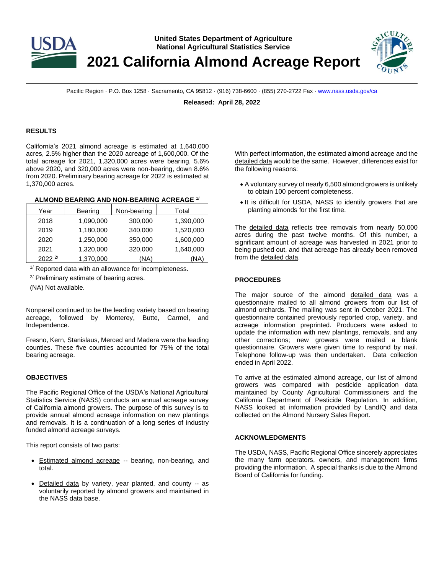

**United States Department of Agriculture National Agricultural Statistics Service**

**2021 California Almond Acreage Report**



Pacific Region · P.O. Box 1258 · Sacramento, CA 95812 · (916) 738-6600 · (855) 270-2722 Fax [· www.nass.usda.gov/ca](http://www.nass.usda.gov/ca)

**Released: April 28, 2022**

# **RESULTS**

California's 2021 almond acreage is estimated at 1,640,000 acres, 2.5% higher than the 2020 acreage of 1,600,000. Of the total acreage for 2021, 1,320,000 acres were bearing, 5.6% above 2020, and 320,000 acres were non-bearing, down 8.6% from 2020. Preliminary bearing acreage for 2022 is estimated at 1,370,000 acres.

# **ALMOND BEARING AND NON-BEARING ACREAGE 1/**

| Year            | <b>Bearing</b> | Non-bearing | Total     |
|-----------------|----------------|-------------|-----------|
| 2018            | 1,090,000      | 300,000     | 1,390,000 |
| 2019            | 1,180,000      | 340,000     | 1,520,000 |
| 2020            | 1,250,000      | 350,000     | 1,600,000 |
| 2021            | 1,320,000      | 320,000     | 1,640,000 |
| $2022$ $^{2/2}$ | 1,370,000      | (NA)        | (NA       |

 $1/$  Reported data with an allowance for incompleteness.

<sup>2/</sup> Preliminary estimate of bearing acres.

(NA) Not available.

Nonpareil continued to be the leading variety based on bearing acreage, followed by Monterey, Butte, Carmel, and Independence.

Fresno, Kern, Stanislaus, Merced and Madera were the leading counties. These five counties accounted for 75% of the total bearing acreage.

## **OBJECTIVES**

The Pacific Regional Office of the USDA's National Agricultural Statistics Service (NASS) conducts an annual acreage survey of California almond growers. The purpose of this survey is to provide annual almond acreage information on new plantings and removals. It is a continuation of a long series of industry funded almond acreage surveys.

This report consists of two parts:

- Estimated almond acreage -- bearing, non-bearing, and total.
- Detailed data by variety, year planted, and county -- as voluntarily reported by almond growers and maintained in the NASS data base.

With perfect information, the estimated almond acreage and the detailed data would be the same. However, differences exist for the following reasons:

- A voluntary survey of nearly 6,500 almond growers is unlikely to obtain 100 percent completeness.
- It is difficult for USDA, NASS to identify growers that are planting almonds for the first time.

The detailed data reflects tree removals from nearly 50,000 acres during the past twelve months. Of this number, a significant amount of acreage was harvested in 2021 prior to being pushed out, and that acreage has already been removed from the detailed data.

# **PROCEDURES**

The major source of the almond detailed data was a questionnaire mailed to all almond growers from our list of almond orchards. The mailing was sent in October 2021. The questionnaire contained previously reported crop, variety, and acreage information preprinted. Producers were asked to update the information with new plantings, removals, and any other corrections; new growers were mailed a blank questionnaire. Growers were given time to respond by mail. Telephone follow-up was then undertaken. Data collection ended in April 2022.

To arrive at the estimated almond acreage, our list of almond growers was compared with pesticide application data maintained by County Agricultural Commissioners and the California Department of Pesticide Regulation. In addition, NASS looked at information provided by LandIQ and data collected on the Almond Nursery Sales Report.

## **ACKNOWLEDGMENTS**

The USDA, NASS, Pacific Regional Office sincerely appreciates the many farm operators, owners, and management firms providing the information. A special thanks is due to the Almond Board of California for funding.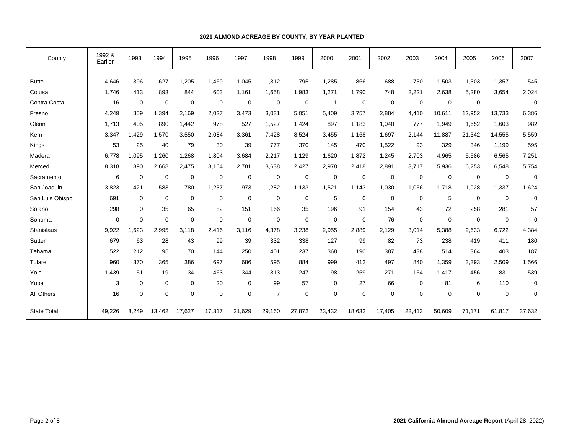# **2021 ALMOND ACREAGE BY COUNTY, BY YEAR PLANTED <sup>1</sup>**

| County             | 1992 &<br>Earlier | 1993        | 1994        | 1995        | 1996        | 1997        | 1998           | 1999        | 2000           | 2001        | 2002        | 2003        | 2004        | 2005        | 2006         | 2007        |
|--------------------|-------------------|-------------|-------------|-------------|-------------|-------------|----------------|-------------|----------------|-------------|-------------|-------------|-------------|-------------|--------------|-------------|
| <b>Butte</b>       | 4,646             | 396         | 627         | 1,205       | 1,469       | 1,045       | 1,312          | 795         | 1,285          | 866         | 688         | 730         | 1,503       | 1,303       | 1,357        | 545         |
| Colusa             | 1,746             | 413         | 893         | 844         | 603         | 1,161       | 1,658          | 1,983       | 1,271          | 1,790       | 748         | 2,221       | 2,638       | 5,280       | 3,654        | 2,024       |
| Contra Costa       | 16                | $\mathbf 0$ | $\mathbf 0$ | $\mathbf 0$ | 0           | $\mathbf 0$ | $\mathbf 0$    | 0           | $\overline{1}$ | 0           | 0           | 0           | 0           | $\mathbf 0$ | $\mathbf{1}$ | $\mathbf 0$ |
| Fresno             | 4,249             | 859         | 1,394       | 2,169       | 2,027       | 3,473       | 3,031          | 5,051       | 5,409          | 3,757       | 2,884       | 4,410       | 10,611      | 12,952      | 13,733       | 6,386       |
| Glenn              | 1,713             | 405         | 890         | 1,442       | 978         | 527         | 1,527          | 1,424       | 897            | 1,183       | 1,040       | 777         | 1,949       | 1,652       | 1,603        | 982         |
| Kern               | 3,347             | ,429        | 1.570       | 3,550       | 2,084       | 3,361       | 7,428          | 8,524       | 3,455          | 1,168       | 1,697       | 2,144       | 11,887      | 21,342      | 14,555       | 5,559       |
| Kings              | 53                | 25          | 40          | 79          | 30          | 39          | 777            | 370         | 145            | 470         | 1,522       | 93          | 329         | 346         | 1,199        | 595         |
| Madera             | 6,778             | ,095        | 1,260       | 1.268       | 1,804       | 3,684       | 2,217          | 1,129       | 1,620          | 1,872       | 1,245       | 2,703       | 4,965       | 5,586       | 6,565        | 7,251       |
| Merced             | 8,318             | 890         | 2,668       | 2,475       | 3,164       | 2,781       | 3,638          | 2,427       | 2,978          | 2,418       | 2,891       | 3,717       | 5,936       | 6,253       | 6,548        | 5,754       |
| Sacramento         | 6                 | $\mathbf 0$ | $\mathbf 0$ | 0           | 0           | $\mathbf 0$ | $\mathbf 0$    | $\mathbf 0$ | 0              | 0           | 0           | 0           | $\mathbf 0$ | $\mathbf 0$ | $\mathbf 0$  | $\mathbf 0$ |
| San Joaquin        | 3,823             | 421         | 583         | 780         | 1,237       | 973         | 1,282          | 1,133       | 1,521          | 1,143       | 1,030       | 1,056       | 1,718       | 1,928       | 1,337        | 1,624       |
| San Luis Obispo    | 691               | $\mathbf 0$ | $\mathbf 0$ | 0           | 0           | $\mathbf 0$ | $\mathbf 0$    | 0           | 5              | 0           | 0           | 0           | 5           | $\mathbf 0$ | $\mathbf 0$  | $\mathbf 0$ |
| Solano             | 298               | $\mathbf 0$ | 35          | 65          | 82          | 151         | 166            | 35          | 196            | 91          | 154         | 43          | 72          | 258         | 281          | 57          |
| Sonoma             | $\mathbf 0$       | $\mathbf 0$ | $\mathbf 0$ | 0           | $\pmb{0}$   | $\pmb{0}$   | $\mathbf 0$    | $\mathbf 0$ | 0              | $\mathbf 0$ | 76          | $\mathbf 0$ | $\mathbf 0$ | $\mathbf 0$ | $\mathbf 0$  | $\mathbf 0$ |
| Stanislaus         | 9,922             | ,623        | 2,995       | 3.118       | 2,416       | 3,116       | 4,378          | 3,238       | 2,955          | 2,889       | 2,129       | 3,014       | 5,388       | 9,633       | 6,722        | 4,384       |
| Sutter             | 679               | 63          | 28          | 43          | 99          | 39          | 332            | 338         | 127            | 99          | 82          | 73          | 238         | 419         | 411          | 180         |
| Tehama             | 522               | 212         | 95          | 70          | 144         | 250         | 401            | 237         | 368            | 190         | 387         | 438         | 514         | 364         | 403          | 187         |
| Tulare             | 960               | 370         | 365         | 386         | 697         | 686         | 595            | 884         | 999            | 412         | 497         | 840         | 1,359       | 3,393       | 2,509        | 1,566       |
| Yolo               | 1,439             | 51          | 19          | 134         | 463         | 344         | 313            | 247         | 198            | 259         | 271         | 154         | 1,417       | 456         | 831          | 539         |
| Yuba               | 3                 | 0           | $\mathbf 0$ | 0           | 20          | $\pmb{0}$   | 99             | 57          | 0              | 27          | 66          | $\mathbf 0$ | 81          | 6           | 110          | $\pmb{0}$   |
| All Others         | 16                | $\mathbf 0$ | $\mathbf 0$ | 0           | $\mathbf 0$ | $\mathbf 0$ | $\overline{7}$ | $\mathbf 0$ | 0              | $\mathbf 0$ | $\mathbf 0$ | $\Omega$    | $\mathbf 0$ | $\mathbf 0$ | $\mathbf 0$  | $\mathbf 0$ |
| <b>State Total</b> | 49,226            | 8,249       | 13,462      | 17,627      | 17,317      | 21,629      | 29,160         | 27,872      | 23,432         | 18,632      | 17,405      | 22,413      | 50,609      | 71,171      | 61,817       | 37,632      |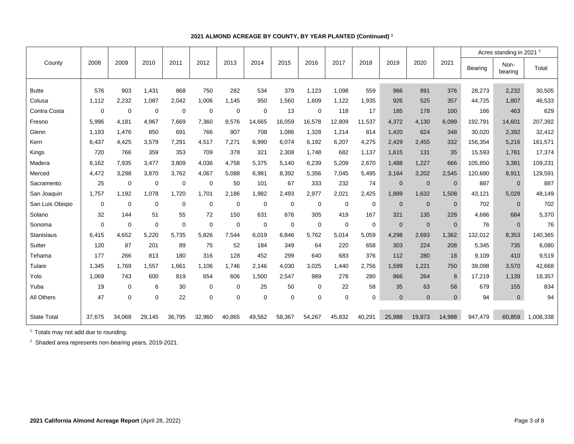|                    |             |                |        |             |             |        |             |             |             |             |             |              |              |                |         | Acres standing in 2021 <sup>2</sup> |           |
|--------------------|-------------|----------------|--------|-------------|-------------|--------|-------------|-------------|-------------|-------------|-------------|--------------|--------------|----------------|---------|-------------------------------------|-----------|
| County             | 2008        | 2009           | 2010   | 2011        | 2012        | 2013   | 2014        | 2015        | 2016        | 2017        | 2018        | 2019         | 2020         | 2021           | Bearing | Non-<br>bearing                     | Total     |
|                    |             |                |        |             |             |        |             |             |             |             |             |              |              |                |         |                                     |           |
| <b>Butte</b>       | 576         | 903            | 1,431  | 868         | 750         | 282    | 534         | 379         | 1,123       | 1,098       | 559         | 966          | 891          | 376            | 28,273  | 2,232                               | 30,505    |
| Colusa             | 1.112       | 2,232          | 1,087  | 2,042       | 1,006       | 1,145  | 950         | 1,560       | 1,609       | 1,122       | 1,935       | 926          | 525          | 357            | 44.725  | 1.807                               | 46,533    |
| Contra Costa       | $\Omega$    | $\overline{0}$ | 0      | $\mathbf 0$ | $\mathbf 0$ | 0      | $\Omega$    | 13          | 0           | 118         | 17          | 185          | 178          | 100            | 166     | 463                                 | 629       |
| Fresno             | 5,996       | 4.181          | 4.967  | 7.669       | 7.360       | 8.576  | 14,665      | 16,059      | 16,578      | 12,809      | 11,537      | 4,372        | 4.130        | 6,099          | 192.791 | 14,601                              | 207,392   |
| Glenn              | 1.193       | 1,476          | 850    | 691         | 766         | 907    | 708         | 1,086       | 1,328       | 1,214       | 814         | 1,420        | 624          | 348            | 30,020  | 2,392                               | 32,412    |
| Kern               | 6,437       | 4,425          | 3,579  | 7.291       | 4,517       | 7,271  | 6,990       | 6,074       | 6,192       | 6,207       | 4,275       | 2,429        | 2,455        | 332            | 156,354 | 5,216                               | 161,571   |
| Kings              | 720         | 766            | 359    | 353         | 709         | 378    | 321         | 2,308       | 1.748       | 682         | 1,137       | 1.615        | 131          | 35             | 15,593  | 1.781                               | 17,374    |
| Madera             | 6,162       | 7,935          | 3,477  | 3.809       | 4,036       | 4,758  | 5,375       | 5,140       | 6,239       | 5,209       | 2,670       | 1,488        | 1,227        | 666            | 105,850 | 3,381                               | 109,231   |
| Merced             | 4,472       | 3,298          | 3,870  | 3,762       | 4,067       | 5,088  | 6,981       | 8,392       | 5,356       | 7,045       | 5,495       | 3,164        | 3,202        | 2,545          | 120,680 | 8,911                               | 129,591   |
| Sacramento         | 25          | $\mathbf 0$    | 0      | $\mathbf 0$ | $\mathbf 0$ | 50     | 101         | 67          | 333         | 232         | 74          | $\mathbf{0}$ | $\mathbf{0}$ | $\mathbf 0$    | 887     | $\mathbf{0}$                        | 887       |
| San Joaquin        | 1,757       | 1,192          | 1,078  | 1,720       | 1.701       | 2,186  | 1,982       | 2,493       | 2,977       | 2,021       | 2,425       | 1,889        | 1,632        | 1,508          | 43,121  | 5,028                               | 48,149    |
| San Luis Obispo    | $\mathbf 0$ | $\mathbf 0$    | 0      | $\mathbf 0$ | $\mathbf 0$ | 0      | $\mathbf 0$ | $\mathbf 0$ | $\mathbf 0$ | $\mathbf 0$ | 0           | $\mathbf{0}$ | $\mathbf{0}$ | $\mathbf 0$    | 702     | $\mathbf{0}$                        | 702       |
| Solano             | 32          | 144            | 51     | 55          | 72          | 150    | 631         | 676         | 305         | 419         | 167         | 321          | 135          | 228            | 4,686   | 684                                 | 5,370     |
| Sonoma             | $\Omega$    | $\mathbf 0$    | 0      | $\mathbf 0$ | $\mathbf 0$ | 0      | 0           | $\mathbf 0$ | $\mathbf 0$ | 0           | 0           | $\mathbf{0}$ | $\mathbf{0}$ | $\mathbf 0$    | 76      | $\mathbf{0}$                        | 76        |
| Stanislaus         | 6,415       | 4,652          | 5,220  | 5,735       | 5,826       | 7,544  | 6,019       | 6,846       | 5,762       | 5,014       | 5,059       | 4,298        | 2,693        | 1,362          | 132,012 | 8,353                               | 140,365   |
| Sutter             | 120         | 87             | 201    | 89          | 75          | 52     | 184         | 349         | 64          | 220         | 658         | 303          | 224          | 208            | 5,345   | 735                                 | 6,080     |
| Tehama             | 177         | 266            | 813    | 180         | 316         | 128    | 452         | 299         | 640         | 683         | 376         | 112          | 280          | 18             | 9,109   | 410                                 | 9,519     |
| Tulare             | 1.345       | 1.769          | 1,557  | 1.661       | 1.106       | 1.746  | 2,146       | 4,030       | 3,025       | 1.440       | 2.756       | 1.599        | 1,221        | 750            | 39,098  | 3,570                               | 42,668    |
| Yolo               | 1.069       | 743            | 600    | 819         | 654         | 606    | 1,500       | 2,547       | 989         | 278         | 280         | 866          | 264          | 8              | 17,219  | 1,139                               | 18,357    |
| Yuba               | 19          | $\mathbf 0$    | 6      | 30          | 0           | 0      | 25          | 50          | $\mathbf 0$ | 22          | 58          | 35           | 63           | 58             | 679     | 155                                 | 834       |
| All Others         | 47          | $\overline{0}$ | 0      | 22          | $\mathbf 0$ | 0      | $\mathbf 0$ | $\mathbf 0$ | $\mathbf 0$ | $\mathbf 0$ | $\mathbf 0$ | $\Omega$     | $\Omega$     | $\overline{0}$ | 94      | $\overline{0}$                      | 94        |
|                    |             |                |        |             |             |        |             |             |             |             |             |              |              |                |         |                                     |           |
| <b>State Total</b> | 37.675      | 34.068         | 29,145 | 36.795      | 32,960      | 40,865 | 49,562      | 58,367      | 54,267      | 45,832      | 40,291      | 25,988       | 19.873       | 14.998         | 947,479 | 60.859                              | 1,008,338 |

# **2021 ALMOND ACREAGE BY COUNTY, BY YEAR PLANTED (Continued) <sup>1</sup>**

<sup>1</sup> Totals may not add due to rounding.

<sup>2</sup> Shaded area represents non-bearing years, 2019-2021.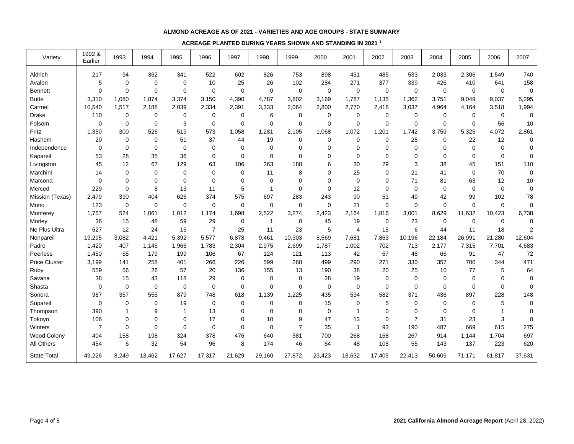## **ALMOND ACREAGE AS OF 2021 - VARIETIES AND AGE GROUPS - STATE SUMMARY**

## **ACREAGE PLANTED DURING YEARS SHOWN AND STANDING IN 2021 <sup>1</sup>**

| Variety              | 1992 &<br>Earlier | 1993        | 1994           | 1995        | 1996           | 1997        | 1998           | 1999           | 2000        | 2001             | 2002        | 2003           | 2004        | 2005        | 2006        | 2007                    |
|----------------------|-------------------|-------------|----------------|-------------|----------------|-------------|----------------|----------------|-------------|------------------|-------------|----------------|-------------|-------------|-------------|-------------------------|
| Aldrich              | 217               | 94          | 362            | 341         | 522            | 602         | 826            | 753            | 898         | 431              | 485         | 533            | 2,033       | 2,306       | 1,549       | 740                     |
| Avalon               | 5                 | $\mathbf 0$ | $\mathbf 0$    | $\mathbf 0$ | 10             | 25          | 26             | 102            | 284         | 271              | 377         | 339            | 426         | 410         | 641         | 158                     |
| <b>Bennett</b>       | 0                 | $\mathbf 0$ | $\mathbf 0$    | $\mathbf 0$ | 0              | $\mathbf 0$ | $\mathbf 0$    | $\overline{0}$ | $\mathbf 0$ | $\mathbf 0$      | $\mathbf 0$ | $\mathbf 0$    | $\mathbf 0$ | $\mathbf 0$ | $\mathbf 0$ | $\mathbf 0$             |
| <b>Butte</b>         | 3,310             | 1,080       | 1,874          | 3,374       | 3,150          | 4,390       | 4,787          | 3,802          | 3,169       | 1,787            | 1,135       | 1,362          | 3,751       | 9,049       | 9,037       | 5,295                   |
| Carmel               | 10,540            | 1,517       | 2,188          | 2,039       | 2,334          | 2,391       | 3,333          | 2,064          | 2,800       | 2,770            | 2,418       | 3,037          | 4,964       | 4,164       | 3,518       | 1,994                   |
| Drake                | 110               | 0           | 0              | 0           | 0              | $\mathbf 0$ | 6              | 0              | $\mathbf 0$ | 0                | 0           | $\mathbf 0$    | 0           | 0           | $\mathbf 0$ | $\mathbf 0$             |
| Folsom               | 0                 | $\mathbf 0$ | $\mathbf 0$    | 3           | 0              | $\mathbf 0$ | $\mathbf 0$    | $\mathbf 0$    | $\mathbf 0$ | $\boldsymbol{0}$ | $\mathbf 0$ | $\mathbf 0$    | 0           | $\mathbf 0$ | 56          | $10$                    |
| Fritz                | 1,350             | 300         | 526            | 519         | 573            | 1,058       | 1,281          | 2,105          | 1,068       | 1,072            | 1,201       | 1,742          | 3,759       | 5,325       | 4,072       | 2,861                   |
| Hashem               | 20                | $\mathbf 0$ | $\mathbf 0$    | 51          | 37             | 44          | 19             | $\mathbf 0$    | 0           | $\mathbf 0$      | $\Omega$    | 25             | $\Omega$    | 22          | 12          | $\mathbf 0$             |
| Independence         | $\mathbf 0$       | $\mathbf 0$ | $\mathbf 0$    | $\Omega$    | $\Omega$       | $\Omega$    | 0              | $\mathbf 0$    | 0           | $\mathbf 0$      | $\Omega$    | $\Omega$       | $\Omega$    | 0           | $\Omega$    | $\mathbf 0$             |
| Kapareil             | 53                | 28          | 35             | 36          | $\Omega$       | $\Omega$    | $\mathbf 0$    | $\mathbf 0$    | $\mathbf 0$ | $\mathbf 0$      | $\Omega$    | $\Omega$       | $\Omega$    | $\Omega$    | $\Omega$    | $\mathbf 0$             |
| Livingston           | 45                | 12          | 67             | 129         | 63             | 106         | 363            | 188            | 6           | 30               | 29          | 3              | 38          | 45          | 151         | 110                     |
| Marchini             | 14                | 0           | $\mathbf 0$    | $\Omega$    | $\Omega$       | $\Omega$    | 11             | 8              | 0           | 25               | $\Omega$    | 21             | 41          | $\Omega$    | 70          | 0                       |
| Marcona              | $\mathbf 0$       | $\mathbf 0$ | $\Omega$       | $\Omega$    | $\Omega$       | $\Omega$    | $\mathbf 0$    | $\mathbf 0$    | $\mathbf 0$ | $\mathbf 0$      | $\Omega$    | 71             | 81          | 63          | 12          | 10                      |
| Merced               | 229               | $\mathbf 0$ | 8              | 13          | 11             | 5           | $\mathbf{1}$   | $\mathbf 0$    | $\mathbf 0$ | 12               | $\mathbf 0$ | $\mathbf 0$    | 0           | $\mathbf 0$ | $\mathbf 0$ | $\mathbf 0$             |
| Mission (Texas)      | 2,479             | 390         | 404            | 626         | 374            | 575         | 697            | 283            | 243         | 90               | 51          | 49             | 42          | 99          | 102         | 78                      |
| Mono                 | 123               | 0           | $\mathbf 0$    | $\mathbf 0$ | $\mathbf 0$    | $\mathbf 0$ | $\mathbf 0$    | $\mathbf 0$    | 0           | 21               | $\Omega$    | $\Omega$       | $\mathbf 0$ | $\mathbf 0$ | $\mathbf 0$ | $\mathbf 0$             |
| Monterey             | 1,757             | 524         | 1,061          | 1,012       | 1,174          | 1,698       | 2,522          | 3,274          | 2,423       | 2,164            | 1,816       | 3,001          | 8,629       | 11,632      | 10,423      | 6,738                   |
| Morley               | 36                | 15          | 48             | 59          | 29             | 0           | $\overline{1}$ | $\mathbf 0$    | 45          | 19               | $\mathbf 0$ | 23             | 0           | 0           | $\mathbf 0$ | $\mathbf 0$             |
| Ne Plus Ultra        | 627               | 12          | 24             | 16          | $\overline{7}$ | 25          | 11             | 23             | 5           | $\overline{4}$   | 15          | 6              | 44          | 11          | 18          | $\overline{\mathbf{c}}$ |
| Nonpareil            | 19,295            | 3,082       | 4,421          | 5,392       | 5,577          | 6,878       | 9,461          | 10,303         | 8,569       | 7,681            | 7,863       | 10,196         | 22,184      | 26,991      | 21,280      | 12,604                  |
| Padre                | 1,420             | 407         | 1,145          | 1,966       | 1,783          | 2,304       | 2,975          | 2,699          | 1,787       | 1,002            | 702         | 713            | 2,177       | 7,315       | 7,701       | 4,683                   |
| Peerless             | 1,450             | 55          | 179            | 199         | 106            | 67          | 124            | 121            | 113         | 42               | 67          | 48             | 66          | 91          | 47          | 72                      |
| <b>Price Cluster</b> | 3,199             | 141         | 258            | 401         | 266            | 226         | 599            | 268            | 499         | 290              | 271         | 330            | 357         | 700         | 344         | 471                     |
| Ruby                 | 559               | 56          | 26             | 57          | 20             | 136         | 155            | 13             | 190         | 38               | 20          | 25             | 10          | 77          | 5           | 64                      |
| Savana               | 38                | 15          | 43             | 118         | 29             | $\mathbf 0$ | $\mathbf 0$    | 0              | 28          | 19               | $\Omega$    | $\Omega$       | 0           | 0           | $\Omega$    | $\mathbf 0$             |
| Shasta               | 0                 | 0           | $\mathbf 0$    | 0           | $\mathbf 0$    | $\Omega$    | 0              | $\mathbf 0$    | $\mathbf 0$ | 0                | $\mathbf 0$ | $\Omega$       | $\Omega$    | 0           | $\mathbf 0$ | 0                       |
| Sonora               | 987               | 357         | 555            | 879         | 748            | 618         | 1,139          | 1,225          | 435         | 534              | 582         | 371            | 436         | 897         | 228         | 148                     |
| Supareil             | 0                 | $\mathbf 0$ | $\mathbf 0$    | 19          | $\mathbf 0$    | $\mathbf 0$ | 0              | 0              | 15          | $\mathbf 0$      | 5           | $\mathbf 0$    | 0           | 0           | 5           | $\pmb{0}$               |
| Thompson             | 390               |             | 9              | -1          | 13             | 0           | 0              | $\mathbf 0$    | $\mathbf 0$ | $\mathbf{1}$     | $\Omega$    | $\Omega$       | 0           | 0           |             | $\mathbf 0$             |
| Tokoyo               | 106               | $\mathbf 0$ | $\overline{0}$ | $\Omega$    | 17             | $\Omega$    | 10             | 9              | 47          | 13               | $\Omega$    | $\overline{7}$ | 31          | 23          | 3           | $\mathbf 0$             |
| Winters              | $\overline{7}$    | $\mathbf 0$ | $\overline{0}$ | $\Omega$    | $\Omega$       | $\Omega$    | $\Omega$       | $\overline{7}$ | 35          | $\mathbf{1}$     | 93          | 190            | 487         | 669         | 615         | 275                     |
| <b>Wood Colony</b>   | 404               | 158         | 198            | 324         | 378            | 476         | 640            | 581            | 700         | 268              | 168         | 267            | 914         | 1,144       | 1,704       | 697                     |
| All Others           | 454               | 6           | 32             | 54          | 96             | 8           | 174            | 46             | 64          | 48               | 108         | 55             | 143         | 137         | 223         | 620                     |
| <b>State Total</b>   | 49,226            | 8,249       | 13,462         | 17,627      | 17,317         | 21,629      | 29,160         | 27,872         | 23,423      | 18,632           | 17,405      | 22,413         | 50,609      | 71,171      | 61,817      | 37,631                  |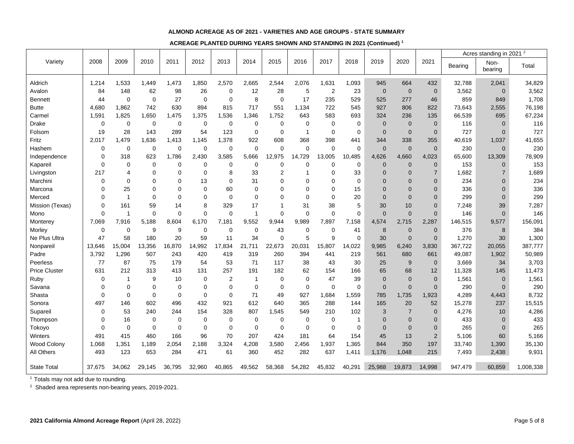## **ALMOND ACREAGE AS OF 2021 - VARIETIES AND AGE GROUPS - STATE SUMMARY**

**ACREAGE PLANTED DURING YEARS SHOWN AND STANDING IN 2021 (Continued) <sup>1</sup>**

|                      |        |                |             |             |             |             |             |                |              |                |              |                |                |                |         | Acres standing in 2021 <sup>2</sup> |           |
|----------------------|--------|----------------|-------------|-------------|-------------|-------------|-------------|----------------|--------------|----------------|--------------|----------------|----------------|----------------|---------|-------------------------------------|-----------|
| Variety              | 2008   | 2009           | 2010        | 2011        | 2012        | 2013        | 2014        | 2015           | 2016         | 2017           | 2018         | 2019           | 2020           | 2021           | Bearing | Non-<br>bearing                     | Total     |
| Aldrich              | 1,214  | 1,533          | 1,449       | 1,473       | 1,850       | 2,570       | 2,665       | 2,544          | 2,076        | 1,631          | 1,093        | 945            | 664            | 432            | 32,788  | 2,041                               | 34,829    |
| Avalon               | 84     | 148            | 62          | 98          | 26          | 0           | 12          | 28             | 5            | $\overline{c}$ | 23           | $\mathbf 0$    | $\mathbf 0$    | $\mathbf 0$    | 3,562   | $\mathbf 0$                         | 3,562     |
| <b>Bennett</b>       | 44     | $\mathbf 0$    | $\mathbf 0$ | 27          | $\mathbf 0$ | 0           | 8           | $\mathbf 0$    | 17           | 235            | 529          | 525            | 277            | 46             | 859     | 849                                 | 1,708     |
| <b>Butte</b>         | 4,680  | 1,862          | 742         | 630         | 894         | 815         | 717         | 551            | 1,134        | 722            | 545          | 927            | 806            | 822            | 73,643  | 2,555                               | 76,198    |
| Carmel               | 1,591  | 1,825          | 1,650       | 1,475       | 1,375       | 1,536       | 1,346       | 1,752          | 643          | 583            | 693          | 324            | 236            | 135            | 66,539  | 695                                 | 67,234    |
| Drake                | 0      | 0              | 0           | 0           | 0           | 0           | 0           | 0              | 0            | 0              | $\mathbf 0$  | $\mathbf{0}$   | $\mathbf 0$    | $\mathbf 0$    | 116     | $\mathbf{0}$                        | 116       |
| Folsom               | 19     | 28             | 143         | 289         | 54          | 123         | 0           | $\mathbf 0$    | $\mathbf{1}$ | $\mathbf 0$    | $\mathbf 0$  | $\overline{0}$ | $\mathbf 0$    | $\mathbf 0$    | 727     | $\mathbf 0$                         | 727       |
| Fritz                | 2,017  | 1,479          | 1,636       | 1,413       | 1,145       | 1,378       | 922         | 608            | 368          | 398            | 441          | 344            | 338            | 355            | 40,619  | 1,037                               | 41,655    |
| Hashem               | 0      | $\mathbf 0$    | $\mathbf 0$ | $\mathbf 0$ | $\mathbf 0$ | $\mathbf 0$ | $\mathbf 0$ | $\mathbf 0$    | 0            | $\mathbf 0$    | $\mathbf 0$  | $\mathbf 0$    | $\mathbf 0$    | $\overline{0}$ | 230     | $\mathbf 0$                         | 230       |
| Independence         | 0      | 318            | 623         | 1,786       | 2,430       | 3,585       | 5,666       | 12,975         | 14,729       | 13,005         | 10,485       | 4,626          | 4,660          | 4,023          | 65,600  | 13,309                              | 78,909    |
| Kapareil             | 0      | $\mathbf 0$    | 0           | $\mathbf 0$ | $\mathbf 0$ | 0           | 0           | $\mathbf 0$    | 0            | $\mathbf 0$    | $\mathbf 0$  | $\mathbf{0}$   | $\mathbf 0$    | $\mathbf 0$    | 153     | $\mathbf 0$                         | 153       |
| Livingston           | 217    | $\overline{4}$ | $\mathbf 0$ | 0           | $\mathbf 0$ | 8           | 33          | $\overline{2}$ | 1            | 0              | 33           | $\Omega$       | $\Omega$       | 7              | 1,682   | $\overline{7}$                      | 1,689     |
| Marchini             | 0      | $\mathbf 0$    | $\mathbf 0$ | $\mathbf 0$ | 13          | $\Omega$    | 31          | $\mathbf 0$    | 0            | $\mathbf 0$    | $\mathbf 0$  | $\Omega$       | $\overline{0}$ | $\overline{0}$ | 234     | $\Omega$                            | 234       |
| Marcona              | 0      | 25             | 0           | 0           | $\mathbf 0$ | 60          | 0           | $\Omega$       | 0            | $\mathbf 0$    | 15           | $\Omega$       | $\mathbf{0}$   | $\Omega$       | 336     | $\Omega$                            | 336       |
| Merced               | 0      | $\overline{1}$ | 0           | $\mathbf 0$ | 0           | $\mathbf 0$ | 0           | 0              | 0            | $\mathbf 0$    | 20           | $\mathbf{0}$   | $\overline{0}$ | $\mathbf 0$    | 299     | 0                                   | 299       |
| Mission (Texas)      | 0      | 161            | 59          | 14          | 8           | 329         | 17          | 1              | 31           | 38             | 5            | 30             | 10             | $\mathbf 0$    | 7,248   | 39                                  | 7,287     |
| Mono                 | 0      | $\overline{1}$ | $\mathbf 0$ | $\mathbf 0$ | $\mathbf 0$ | $\mathbf 0$ | 1           | $\overline{0}$ | $\mathbf 0$  | $\mathbf 0$    | $\mathbf 0$  | $\mathbf 0$    | $\mathbf 0$    | $\mathbf 0$    | 146     | $\mathbf 0$                         | 146       |
| Monterey             | 7,069  | 7,916          | 5,188       | 8,604       | 6,170       | 7,181       | 9,552       | 9,944          | 9,989        | 7,897          | 7,158        | 4,574          | 2,715          | 2,287          | 146,515 | 9,577                               | 156,091   |
| Morley               | 0      | $\mathbf 0$    | 9           | 9           | $\mathbf 0$ | 0           | 0           | 43             | 0            | $\mathbf 0$    | 41           | 8              | $\mathbf 0$    | $\overline{0}$ | 376     | $\bf 8$                             | 384       |
| Ne Plus Ultra        | 47     | 58             | 180         | 20          | 59          | 11          | 34          | $\overline{0}$ | 5            | 9              | $\mathbf 0$  | 30             | $\overline{0}$ | $\mathbf 0$    | 1,270   | 30                                  | 1,300     |
| Nonpareil            | 13,646 | 15,004         | 13,356      | 16,870      | 14,992      | 17,834      | 21,711      | 22,673         | 20,031       | 15,807         | 14,022       | 9,985          | 6,240          | 3,830          | 367,722 | 20,055                              | 387,777   |
| Padre                | 3,792  | 1,296          | 507         | 243         | 420         | 419         | 319         | 260            | 394          | 441            | 219          | 561            | 680            | 661            | 49,087  | 1,902                               | 50,989    |
| Peerless             | 77     | 87             | 75          | 179         | 54          | 53          | 71          | 117            | 38           | 43             | 30           | 25             | 9              | $\mathbf 0$    | 3,669   | 34                                  | 3,703     |
| <b>Price Cluster</b> | 631    | 212            | 313         | 413         | 131         | 257         | 191         | 182            | 62           | 154            | 166          | 65             | 68             | 12             | 11,328  | 145                                 | 11,473    |
| Ruby                 | 0      | $\mathbf{1}$   | 9           | 10          | 0           | 2           | 1           | 0              | 0            | 47             | 39           | $\mathbf{0}$   | $\mathbf 0$    | $\mathbf 0$    | 1,561   | $\mathbf 0$                         | 1,561     |
| Savana               | 0      | $\mathbf 0$    | 0           | 0           | 0           | $\Omega$    | 0           | $\mathbf 0$    | 0            | 0              | $\mathbf 0$  | $\mathbf{0}$   | $\overline{0}$ | $\overline{0}$ | 290     | $\mathbf{0}$                        | 290       |
| Shasta               | 0      | $\mathbf 0$    | $\mathbf 0$ | $\mathbf 0$ | $\mathbf 0$ | $\Omega$    | 71          | 49             | 927          | 1,684          | 1,559        | 785            | 1,735          | 1,923          | 4,289   | 4,443                               | 8,732     |
| Sonora               | 497    | 146            | 602         | 496         | 432         | 921         | 612         | 640            | 365          | 288            | 144          | 165            | 20             | 52             | 15,278  | 237                                 | 15,515    |
| Supareil             | 0      | 53             | 240         | 244         | 154         | 328         | 807         | 1,545          | 549          | 210            | 102          | 3              | $\overline{7}$ | $\mathbf 0$    | 4,276   | 10                                  | 4,286     |
| Thompson             | 0      | 16             | 0           | 0           | $\mathbf 0$ | 0           | 0           | 0              | 0            | 0              | $\mathbf{1}$ | $\Omega$       | $\mathbf{0}$   | $\mathbf 0$    | 433     | $\mathbf{0}$                        | 433       |
| Tokoyo               | 0      | $\mathbf 0$    | $\mathbf 0$ | $\mathbf 0$ | $\mathbf 0$ | 0           | 0           | $\mathbf 0$    | $\mathbf 0$  | $\mathbf 0$    | 0            | $\mathbf{0}$   | $\mathbf 0$    | $\mathbf 0$    | 265     | 0                                   | 265       |
| Winters              | 491    | 415            | 460         | 166         | 96          | 70          | 207         | 424            | 181          | 64             | 154          | 45             | 13             | $\overline{2}$ | 5,106   | 60                                  | 5,166     |
| <b>Wood Colony</b>   | 1,068  | 1,351          | 1,189       | 2,054       | 2,188       | 3,324       | 4,208       | 3,580          | 2,456        | 1,937          | 1,365        | 844            | 350            | 197            | 33,740  | 1,390                               | 35,130    |
| All Others           | 493    | 123            | 653         | 284         | 471         | 61          | 360         | 452            | 282          | 637            | 1,411        | 1,176          | 1,048          | 215            | 7,493   | 2,438                               | 9,931     |
| <b>State Total</b>   | 37,675 | 34,062         | 29,145      | 36,795      | 32,960      | 40,865      | 49,562      | 58,368         | 54,282       | 45,832         | 40,291       | 25,988         | 19,873         | 14,998         | 947,479 | 60,859                              | 1,008,338 |

<sup>1</sup> Totals may not add due to rounding.

<sup>2</sup> Shaded area represents non-bearing years, 2019-2021.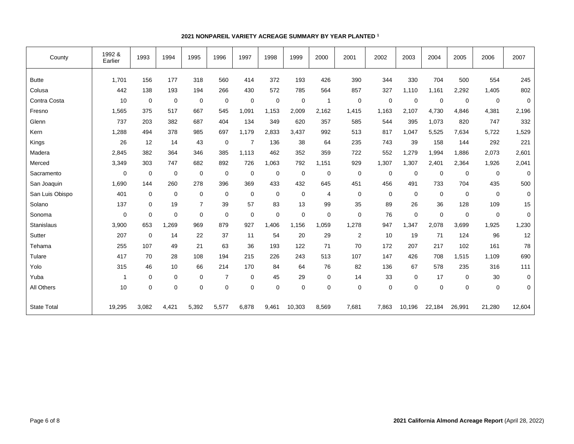| County             | 1992 &<br>Earlier | 1993        | 1994        | 1995        | 1996        | 1997           | 1998        | 1999           | 2000        | 2001        | 2002        | 2003        | 2004        | 2005   | 2006        | 2007        |
|--------------------|-------------------|-------------|-------------|-------------|-------------|----------------|-------------|----------------|-------------|-------------|-------------|-------------|-------------|--------|-------------|-------------|
| <b>Butte</b>       | 1.701             | 156         | 177         | 318         | 560         | 414            | 372         | 193            | 426         | 390         | 344         | 330         | 704         | 500    | 554         | 245         |
| Colusa             | 442               | 138         | 193         | 194         | 266         | 430            | 572         | 785            | 564         | 857         | 327         | 1,110       | 1,161       | 2,292  | 1,405       | 802         |
| Contra Costa       | 10                | $\mathbf 0$ | $\mathbf 0$ | $\mathbf 0$ | $\mathbf 0$ | $\mathbf 0$    | 0           | $\overline{0}$ | 1           | $\mathbf 0$ | $\mathbf 0$ | $\mathbf 0$ | $\mathbf 0$ | 0      | $\mathbf 0$ | $\mathbf 0$ |
| Fresno             | 1,565             | 375         | 517         | 667         | 545         | 1,091          | 1,153       | 2,009          | 2,162       | 1,415       | 1,163       | 2,107       | 4,730       | 4,846  | 4,381       | 2,196       |
| Glenn              | 737               | 203         | 382         | 687         | 404         | 134            | 349         | 620            | 357         | 585         | 544         | 395         | 1,073       | 820    | 747         | 332         |
| Kern               | 1,288             | 494         | 378         | 985         | 697         | 1,179          | 2,833       | 3,437          | 992         | 513         | 817         | 1,047       | 5,525       | 7,634  | 5,722       | 1,529       |
| Kings              | 26                | 12          | 14          | 43          | $\mathbf 0$ | $\overline{7}$ | 136         | 38             | 64          | 235         | 743         | 39          | 158         | 144    | 292         | 221         |
| Madera             | 2,845             | 382         | 364         | 346         | 385         | 1,113          | 462         | 352            | 359         | 722         | 552         | 1,279       | 1,994       | 1,886  | 2,073       | 2,601       |
| Merced             | 3,349             | 303         | 747         | 682         | 892         | 726            | 1,063       | 792            | 1,151       | 929         | 1,307       | 1,307       | 2,401       | 2,364  | 1,926       | 2,041       |
| Sacramento         | $\mathbf 0$       | $\mathbf 0$ | $\mathbf 0$ | 0           | 0           | $\mathbf 0$    | 0           | 0              | $\mathbf 0$ | 0           | $\mathbf 0$ | 0           | 0           | 0      | 0           | $\mathbf 0$ |
| San Joaquin        | 1,690             | 144         | 260         | 278         | 396         | 369            | 433         | 432            | 645         | 451         | 456         | 491         | 733         | 704    | 435         | 500         |
| San Luis Obispo    | 401               | 0           | $\mathbf 0$ | $\mathbf 0$ | 0           | $\mathbf 0$    | 0           | $\mathbf 0$    | 4           | 0           | $\mathbf 0$ | $\mathbf 0$ | 0           | 0      | $\mathbf 0$ | 0           |
| Solano             | 137               | 0           | 19          | 7           | 39          | 57             | 83          | 13             | 99          | 35          | 89          | 26          | 36          | 128    | 109         | 15          |
| Sonoma             | $\mathbf 0$       | $\mathbf 0$ | $\mathbf 0$ | $\mathbf 0$ | $\mathbf 0$ | $\mathbf 0$    | $\mathbf 0$ | $\mathbf 0$    | $\mathbf 0$ | $\mathbf 0$ | 76          | $\mathbf 0$ | $\mathbf 0$ | 0      | $\mathbf 0$ | $\mathbf 0$ |
| Stanislaus         | 3,900             | 653         | 1,269       | 969         | 879         | 927            | 1,406       | 1,156          | 1,059       | 1,278       | 947         | 1,347       | 2,078       | 3,699  | 1,925       | 1,230       |
| Sutter             | 207               | $\mathbf 0$ | 14          | 22          | 37          | 11             | 54          | 20             | 29          | 2           | 10          | 19          | 71          | 124    | 96          | 12          |
| Tehama             | 255               | 107         | 49          | 21          | 63          | 36             | 193         | 122            | 71          | 70          | 172         | 207         | 217         | 102    | 161         | 78          |
| Tulare             | 417               | 70          | 28          | 108         | 194         | 215            | 226         | 243            | 513         | 107         | 147         | 426         | 708         | 1,515  | 1,109       | 690         |
| Yolo               | 315               | 46          | 10          | 66          | 214         | 170            | 84          | 64             | 76          | 82          | 136         | 67          | 578         | 235    | 316         | 111         |
| Yuba               | $\mathbf{1}$      | 0           | $\mathbf 0$ | $\mathbf 0$ | 7           | $\mathbf 0$    | 45          | 29             | 0           | 14          | 33          | 0           | 17          | 0      | 30          | $\mathbf 0$ |
| All Others         | 10                | $\mathbf 0$ | $\mathbf 0$ | $\mathbf 0$ | $\mathbf 0$ | $\mathbf 0$    | $\mathbf 0$ | $\mathbf 0$    | $\mathbf 0$ | $\mathbf 0$ | $\mathbf 0$ | $\mathbf 0$ | $\mathbf 0$ | 0      | $\mathbf 0$ | $\mathbf 0$ |
| <b>State Total</b> | 19,295            | 3,082       | 4,421       | 5,392       | 5,577       | 6,878          | 9,461       | 10,303         | 8,569       | 7,681       | 7,863       | 10,196      | 22,184      | 26,991 | 21,280      | 12,604      |

## **2021 NONPAREIL VARIETY ACREAGE SUMMARY BY YEAR PLANTED <sup>1</sup>**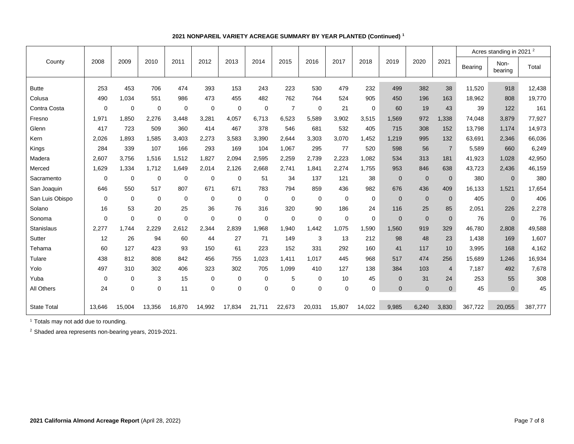|                    |             |             |             |             |             |             |             |                  |             |             |             |              |                |                |         | Acres standing in 2021 <sup>2</sup> |         |
|--------------------|-------------|-------------|-------------|-------------|-------------|-------------|-------------|------------------|-------------|-------------|-------------|--------------|----------------|----------------|---------|-------------------------------------|---------|
| County             | 2008        | 2009        | 2010        | 2011        | 2012        | 2013        | 2014        | 2015             | 2016        | 2017        | 2018        | 2019         | 2020           | 2021           | Bearing | Non-<br>bearing                     | Total   |
| <b>Butte</b>       | 253         | 453         | 706         | 474         | 393         | 153         | 243         | 223              | 530         | 479         | 232         | 499          | 382            | 38             | 11,520  | 918                                 | 12,438  |
| Colusa             | 490         | 1,034       | 551         | 986         | 473         | 455         | 482         | 762              | 764         | 524         | 905         | 450          | 196            | 163            | 18,962  | 808                                 | 19,770  |
| Contra Costa       | $\mathbf 0$ | 0           | 0           | $\mathbf 0$ | $\mathbf 0$ | $\mathbf 0$ | $\mathbf 0$ | $\overline{7}$   | 0           | 21          | $\mathbf 0$ | 60           | 19             | 43             | 39      | 122                                 | 161     |
| Fresno             | 1,971       | 1,850       | 2,276       | 3,448       | 3,281       | 4,057       | 6,713       | 6,523            | 5,589       | 3,902       | 3,515       | 1,569        | 972            | 1,338          | 74,048  | 3,879                               | 77,927  |
| Glenn              | 417         | 723         | 509         | 360         | 414         | 467         | 378         | 546              | 681         | 532         | 405         | 715          | 308            | 152            | 13,798  | 1,174                               | 14,973  |
| Kern               | 2.026       | 1.893       | 1,585       | 3,403       | 2,273       | 3,583       | 3.390       | 2.644            | 3.303       | 3,070       | 1,452       | 1.219        | 995            | 132            | 63,691  | 2,346                               | 66,036  |
| Kings              | 284         | 339         | 107         | 166         | 293         | 169         | 104         | 1,067            | 295         | 77          | 520         | 598          | 56             | $\overline{7}$ | 5,589   | 660                                 | 6,249   |
| Madera             | 2,607       | 3,756       | 1,516       | 1,512       | 1,827       | 2,094       | 2,595       | 2,259            | 2,739       | 2,223       | 1,082       | 534          | 313            | 181            | 41,923  | 1,028                               | 42,950  |
| Merced             | 1,629       | 1,334       | 1,712       | 1,649       | 2,014       | 2,126       | 2,668       | 2.741            | 1,841       | 2,274       | 1,755       | 953          | 846            | 638            | 43,723  | 2,436                               | 46,159  |
| Sacramento         | 0           | $\mathbf 0$ | $\mathbf 0$ | 0           | $\mathbf 0$ | $\mathbf 0$ | 51          | 34               | 137         | 121         | 38          | $\mathbf 0$  | $\mathbf 0$    | $\mathbf 0$    | 380     | $\mathbf 0$                         | 380     |
| San Joaquin        | 646         | 550         | 517         | 807         | 671         | 671         | 783         | 794              | 859         | 436         | 982         | 676          | 436            | 409            | 16,133  | 1,521                               | 17,654  |
| San Luis Obispo    | 0           | 0           | 0           | 0           | $\mathbf 0$ | $\mathbf 0$ | $\mathbf 0$ | 0                | 0           | $\mathbf 0$ | $\mathbf 0$ | $\Omega$     | $\overline{0}$ | $\mathbf 0$    | 405     | $\Omega$                            | 406     |
| Solano             | 16          | 53          | 20          | 25          | 36          | 76          | 316         | 320              | 90          | 186         | 24          | 116          | 25             | 85             | 2,051   | 226                                 | 2,278   |
| Sonoma             | $\mathbf 0$ | $\mathbf 0$ | $\mathbf 0$ | $\mathbf 0$ | $\mathbf 0$ | $\mathbf 0$ | $\mathbf 0$ | $\mathbf 0$      | $\mathbf 0$ | $\mathbf 0$ | $\mathbf 0$ | $\mathbf{0}$ | $\mathbf{0}$   | $\overline{0}$ | 76      | $\mathbf{0}$                        | 76      |
| Stanislaus         | 2,277       | 1,744       | 2,229       | 2,612       | 2,344       | 2,839       | 1,968       | 1,940            | 1,442       | 1,075       | 1,590       | 1,560        | 919            | 329            | 46,780  | 2,808                               | 49,588  |
| Sutter             | 12          | 26          | 94          | 60          | 44          | 27          | 71          | 149              | 3           | 13          | 212         | 98           | 48             | 23             | 1,438   | 169                                 | 1,607   |
| Tehama             | 60          | 127         | 423         | 93          | 150         | 61          | 223         | 152              | 331         | 292         | 160         | 41           | 117            | 10             | 3,995   | 168                                 | 4,162   |
| Tulare             | 438         | 812         | 808         | 842         | 456         | 755         | 1,023       | 1,411            | 1,017       | 445         | 968         | 517          | 474            | 256            | 15,689  | 1,246                               | 16,934  |
| Yolo               | 497         | 310         | 302         | 406         | 323         | 302         | 705         | 1,099            | 410         | 127         | 138         | 384          | 103            | $\overline{4}$ | 7,187   | 492                                 | 7,678   |
| Yuba               | 0           | 0           | 3           | 15          | $\mathbf 0$ | 0           | 0           | 5                | 0           | 10          | 45          | $\Omega$     | 31             | 24             | 253     | 55                                  | 308     |
| All Others         | 24          | 0           | $\mathbf 0$ | 11          | $\mathbf 0$ | $\mathbf 0$ | $\mathbf 0$ | $\boldsymbol{0}$ | $\mathbf 0$ | $\mathbf 0$ | $\Omega$    | $\mathbf{0}$ | $\mathbf{0}$   | $\mathbf{0}$   | 45      | $\mathbf 0$                         | 45      |
| <b>State Total</b> | 13,646      | 15,004      | 13,356      | 16,870      | 14,992      | 17,834      | 21,711      | 22,673           | 20,031      | 15,807      | 14,022      | 9,985        | 6,240          | 3,830          | 367,722 | 20,055                              | 387,777 |

## **2021 NONPAREIL VARIETY ACREAGE SUMMARY BY YEAR PLANTED (Continued) <sup>1</sup>**

<sup>1</sup> Totals may not add due to rounding.

<sup>2</sup> Shaded area represents non-bearing years, 2019-2021.